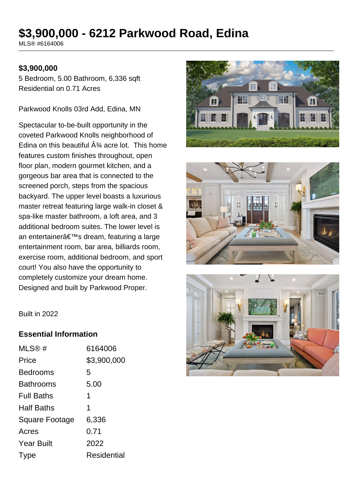# **\$3,900,000 - 6212 Parkwood Road, Edina**

MLS® #6164006

#### **\$3,900,000**

5 Bedroom, 5.00 Bathroom, 6,336 sqft Residential on 0.71 Acres

Parkwood Knolls 03rd Add, Edina, MN

Spectacular to-be-built opportunity in the coveted Parkwood Knolls neighborhood of Edina on this beautiful  $\hat{A}^{\frac{3}{4}}$  acre lot. This home features custom finishes throughout, open floor plan, modern gourmet kitchen, and a gorgeous bar area that is connected to the screened porch, steps from the spacious backyard. The upper level boasts a luxurious master retreat featuring large walk-in closet & spa-like master bathroom, a loft area, and 3 additional bedroom suites. The lower level is an entertainer's dream, featuring a large entertainment room, bar area, billiards room, exercise room, additional bedroom, and sport court! You also have the opportunity to completely customize your dream home. Designed and built by Parkwood Proper.







Built in 2022

#### **Essential Information**

| MLS@#             | 6164006     |
|-------------------|-------------|
| Price             | \$3,900,000 |
| <b>Bedrooms</b>   | 5           |
| <b>Bathrooms</b>  | 5.00        |
| <b>Full Baths</b> | 1           |
| <b>Half Baths</b> | 1           |
| Square Footage    | 6,336       |
| Acres             | 0.71        |
| <b>Year Built</b> | 2022        |
| Type              | Residential |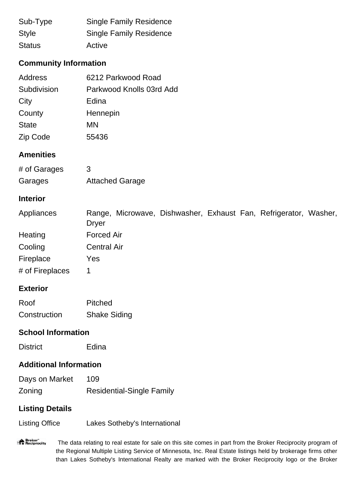| Sub-Type      | <b>Single Family Residence</b> |
|---------------|--------------------------------|
| <b>Style</b>  | <b>Single Family Residence</b> |
| <b>Status</b> | Active                         |

# **Community Information**

| Address      | 6212 Parkwood Road       |
|--------------|--------------------------|
| Subdivision  | Parkwood Knolls 03rd Add |
| City         | Edina                    |
| County       | Hennepin                 |
| <b>State</b> | MN                       |
| Zip Code     | 55436                    |

### **Amenities**

| # of Garages | 3                      |
|--------------|------------------------|
| Garages      | <b>Attached Garage</b> |

### **Interior**

| Appliances      | Range, Microwave, Dishwasher, Exhaust Fan, Refrigerator, Washer, |  |  |  |
|-----------------|------------------------------------------------------------------|--|--|--|
|                 | Dryer                                                            |  |  |  |
| Heating         | <b>Forced Air</b>                                                |  |  |  |
| Cooling         | <b>Central Air</b>                                               |  |  |  |
| Fireplace       | Yes                                                              |  |  |  |
| # of Fireplaces |                                                                  |  |  |  |

# **Exterior**

| Roof         | Pitched             |
|--------------|---------------------|
| Construction | <b>Shake Siding</b> |

# **School Information**

#### **Additional Information**

| Days on Market | 109                              |
|----------------|----------------------------------|
| Zoning         | <b>Residential-Single Family</b> |

# **Listing Details**

Listing Office Lakes Sotheby's International

"<sup>A</sup> Broker"<br>"I Reciprocity The data relating to real estate for sale on this site comes in part from the Broker Reciprocity program of the Regional Multiple Listing Service of Minnesota, Inc. Real Estate listings held by brokerage firms other than Lakes Sotheby's International Realty are marked with the Broker Reciprocity logo or the Broker